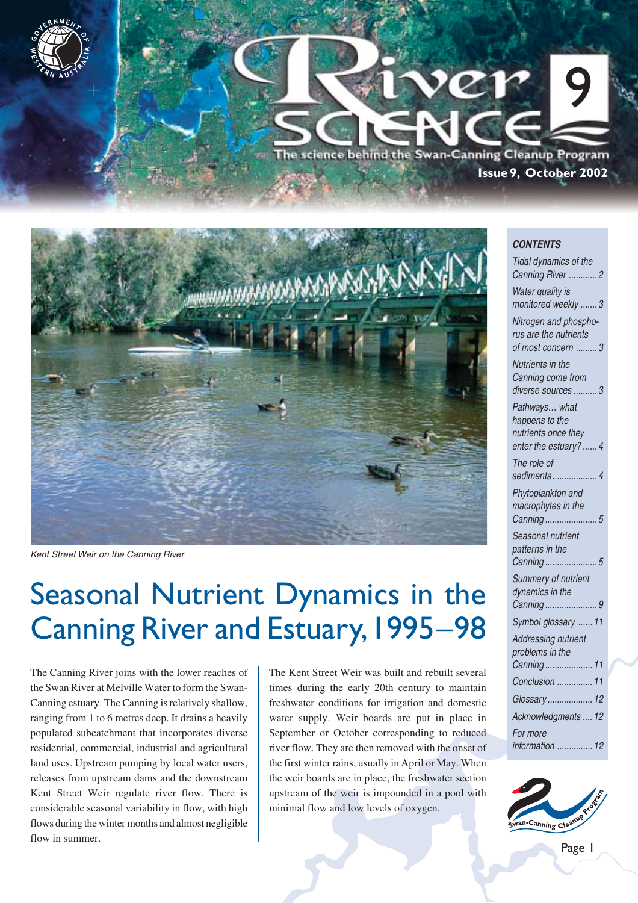



Kent Street Weir on the Canning River

# Seasonal Nutrient Dynamics in the Canning River and Estuary, 1995–98

The Canning River joins with the lower reaches of the Swan River at Melville Water to form the Swan-Canning estuary. The Canning is relatively shallow, ranging from 1 to 6 metres deep. It drains a heavily populated subcatchment that incorporates diverse residential, commercial, industrial and agricultural land uses. Upstream pumping by local water users, releases from upstream dams and the downstream Kent Street Weir regulate river flow. There is considerable seasonal variability in flow, with high flows during the winter months and almost negligible flow in summer.

The Kent Street Weir was built and rebuilt several times during the early 20th century to maintain freshwater conditions for irrigation and domestic water supply. Weir boards are put in place in September or October corresponding to reduced river flow. They are then removed with the onset of the first winter rains, usually in April or May. When the weir boards are in place, the freshwater section upstream of the weir is impounded in a pool with minimal flow and low levels of oxygen.

#### **CONTENTS**

| Tidal dynamics of the<br>Canning River 2                    |
|-------------------------------------------------------------|
| Water quality is<br>monitored weekly  3                     |
| Nitrogen and phospho-<br>rus are the nutrients              |
| of most concern  3                                          |
| Nutrients in the<br>Canning come from<br>diverse sources  3 |
| Pathways what                                               |
| happens to the<br>nutrients once they                       |
| enter the estuary?  4                                       |
| The role of<br>sediments  4                                 |
| Phytoplankton and                                           |
| macrophytes in the<br>Canning<br>5                          |
| Seasonal nutrient                                           |
| patterns in the<br>.5<br>Canning                            |
| Summary of nutrient<br>dynamics in the                      |
| Canning9                                                    |
| Symbol glossary  11                                         |
| Addressing nutrient                                         |
| problems in the                                             |
| Conclusion  11                                              |
| Glossary 12                                                 |
| Acknowledgments  12                                         |
| For more<br>information  12                                 |
|                                                             |

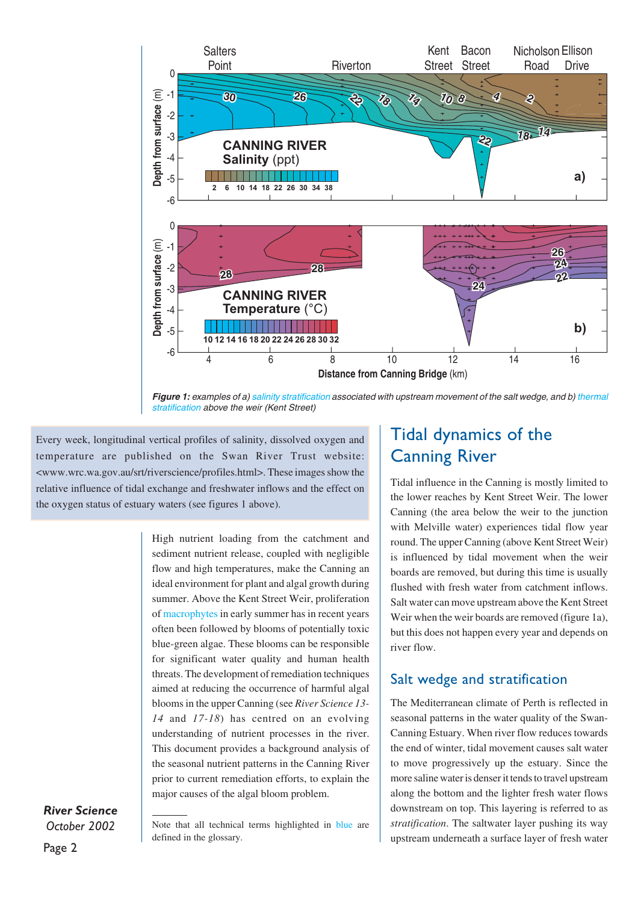

**Figure 1:** examples of a) salinity stratification associated with upstream movement of the salt wedge, and b) thermal stratification above the weir (Kent Street)

Every week, longitudinal vertical profiles of salinity, dissolved oxygen and temperature are published on the Swan River Trust website: <www.wrc.wa.gov.au/srt/riverscience/profiles.html>. These images show the relative influence of tidal exchange and freshwater inflows and the effect on the oxygen status of estuary waters (see figures 1 above).

> High nutrient loading from the catchment and sediment nutrient release, coupled with negligible flow and high temperatures, make the Canning an ideal environment for plant and algal growth during summer. Above the Kent Street Weir, proliferation of macrophytes in early summer has in recent years often been followed by blooms of potentially toxic blue-green algae. These blooms can be responsible for significant water quality and human health threats. The development of remediation techniques aimed at reducing the occurrence of harmful algal blooms in the upper Canning (see *River Science 13- 14* and *17-18*) has centred on an evolving understanding of nutrient processes in the river. This document provides a background analysis of the seasonal nutrient patterns in the Canning River prior to current remediation efforts, to explain the major causes of the algal bloom problem.

#### *River Science October 2002*

## Tidal dynamics of the Canning River

Tidal influence in the Canning is mostly limited to the lower reaches by Kent Street Weir. The lower Canning (the area below the weir to the junction with Melville water) experiences tidal flow year round. The upper Canning (above Kent Street Weir) is influenced by tidal movement when the weir boards are removed, but during this time is usually flushed with fresh water from catchment inflows. Salt water can move upstream above the Kent Street Weir when the weir boards are removed (figure 1a), but this does not happen every year and depends on river flow.

### Salt wedge and stratification

The Mediterranean climate of Perth is reflected in seasonal patterns in the water quality of the Swan-Canning Estuary. When river flow reduces towards the end of winter, tidal movement causes salt water to move progressively up the estuary. Since the more saline water is denser it tends to travel upstream along the bottom and the lighter fresh water flows downstream on top. This layering is referred to as *stratification*. The saltwater layer pushing its way upstream underneath a surface layer of fresh water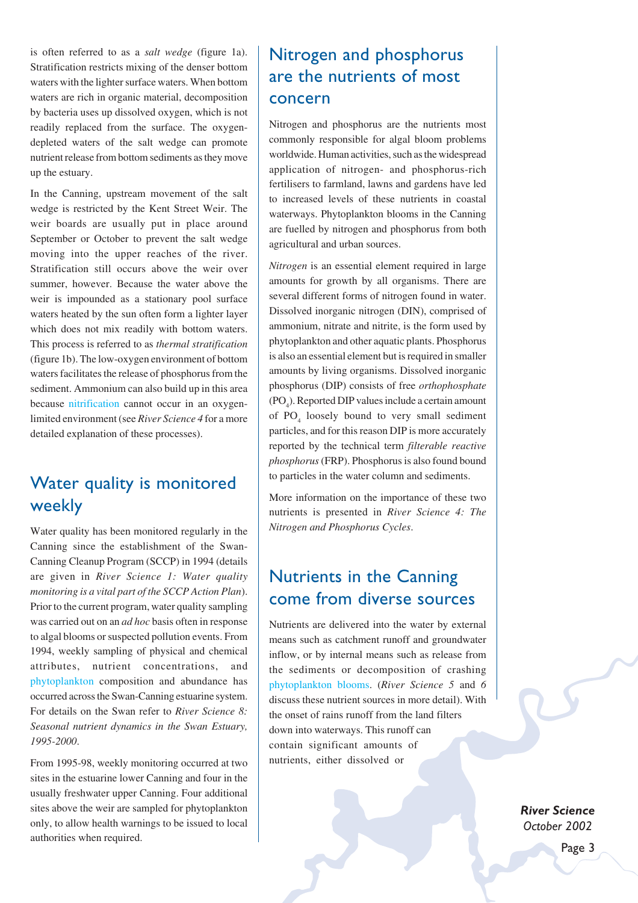is often referred to as a *salt wedge* (figure 1a). Stratification restricts mixing of the denser bottom waters with the lighter surface waters. When bottom waters are rich in organic material, decomposition by bacteria uses up dissolved oxygen, which is not readily replaced from the surface. The oxygendepleted waters of the salt wedge can promote nutrient release from bottom sediments as they move up the estuary.

In the Canning, upstream movement of the salt wedge is restricted by the Kent Street Weir. The weir boards are usually put in place around September or October to prevent the salt wedge moving into the upper reaches of the river. Stratification still occurs above the weir over summer, however. Because the water above the weir is impounded as a stationary pool surface waters heated by the sun often form a lighter layer which does not mix readily with bottom waters. This process is referred to as *thermal stratification* (figure 1b). The low-oxygen environment of bottom waters facilitates the release of phosphorus from the sediment. Ammonium can also build up in this area because nitrification cannot occur in an oxygenlimited environment (see *River Science 4* for a more detailed explanation of these processes).

## Water quality is monitored weekly

Water quality has been monitored regularly in the Canning since the establishment of the Swan-Canning Cleanup Program (SCCP) in 1994 (details are given in *River Science 1: Water quality monitoring is a vital part of the SCCP Action Plan*). Prior to the current program, water quality sampling was carried out on an *ad hoc* basis often in response to algal blooms or suspected pollution events. From 1994, weekly sampling of physical and chemical attributes, nutrient concentrations, and phytoplankton composition and abundance has occurred across the Swan-Canning estuarine system. For details on the Swan refer to *River Science 8: Seasonal nutrient dynamics in the Swan Estuary, 1995-2000*.

From 1995-98, weekly monitoring occurred at two sites in the estuarine lower Canning and four in the usually freshwater upper Canning. Four additional sites above the weir are sampled for phytoplankton only, to allow health warnings to be issued to local authorities when required.

## Nitrogen and phosphorus are the nutrients of most concern

Nitrogen and phosphorus are the nutrients most commonly responsible for algal bloom problems worldwide. Human activities, such as the widespread application of nitrogen- and phosphorus-rich fertilisers to farmland, lawns and gardens have led to increased levels of these nutrients in coastal waterways. Phytoplankton blooms in the Canning are fuelled by nitrogen and phosphorus from both agricultural and urban sources.

*Nitrogen* is an essential element required in large amounts for growth by all organisms. There are several different forms of nitrogen found in water. Dissolved inorganic nitrogen (DIN), comprised of ammonium, nitrate and nitrite, is the form used by phytoplankton and other aquatic plants. Phosphorus is also an essential element but is required in smaller amounts by living organisms. Dissolved inorganic phosphorus (DIP) consists of free *orthophosphate*  $(PO<sub>4</sub>)$ . Reported DIP values include a certain amount of  $PO_4$  loosely bound to very small sediment particles, and for this reason DIP is more accurately reported by the technical term *filterable reactive phosphorus* (FRP). Phosphorus is also found bound to particles in the water column and sediments.

More information on the importance of these two nutrients is presented in *River Science 4: The Nitrogen and Phosphorus Cycles*.

## Nutrients in the Canning come from diverse sources

Nutrients are delivered into the water by external means such as catchment runoff and groundwater inflow, or by internal means such as release from the sediments or decomposition of crashing phytoplankton blooms. (*River Science 5* and *6* discuss these nutrient sources in more detail). With the onset of rains runoff from the land filters down into waterways. This runoff can contain significant amounts of nutrients, either dissolved or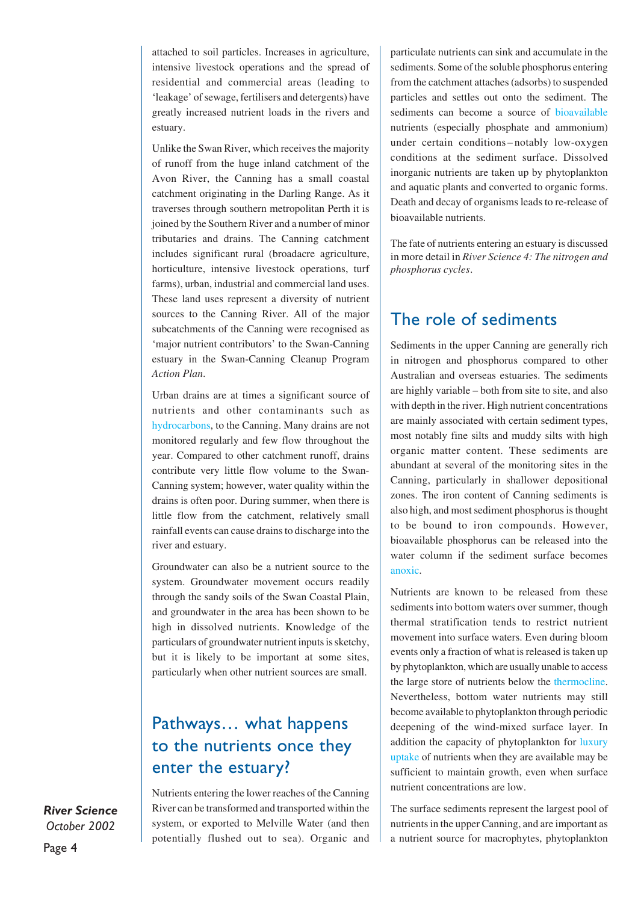attached to soil particles. Increases in agriculture, intensive livestock operations and the spread of residential and commercial areas (leading to 'leakage' of sewage, fertilisers and detergents) have greatly increased nutrient loads in the rivers and estuary.

Unlike the Swan River, which receives the majority of runoff from the huge inland catchment of the Avon River, the Canning has a small coastal catchment originating in the Darling Range. As it traverses through southern metropolitan Perth it is joined by the Southern River and a number of minor tributaries and drains. The Canning catchment includes significant rural (broadacre agriculture, horticulture, intensive livestock operations, turf farms), urban, industrial and commercial land uses. These land uses represent a diversity of nutrient sources to the Canning River. All of the major subcatchments of the Canning were recognised as 'major nutrient contributors' to the Swan-Canning estuary in the Swan-Canning Cleanup Program *Action Plan*.

Urban drains are at times a significant source of nutrients and other contaminants such as hydrocarbons, to the Canning. Many drains are not monitored regularly and few flow throughout the year. Compared to other catchment runoff, drains contribute very little flow volume to the Swan-Canning system; however, water quality within the drains is often poor. During summer, when there is little flow from the catchment, relatively small rainfall events can cause drains to discharge into the river and estuary.

Groundwater can also be a nutrient source to the system. Groundwater movement occurs readily through the sandy soils of the Swan Coastal Plain, and groundwater in the area has been shown to be high in dissolved nutrients. Knowledge of the particulars of groundwater nutrient inputs is sketchy, but it is likely to be important at some sites, particularly when other nutrient sources are small.

## Pathways… what happens to the nutrients once they enter the estuary?

Nutrients entering the lower reaches of the Canning River can be transformed and transported within the system, or exported to Melville Water (and then potentially flushed out to sea). Organic and

particulate nutrients can sink and accumulate in the sediments. Some of the soluble phosphorus entering from the catchment attaches (adsorbs) to suspended particles and settles out onto the sediment. The sediments can become a source of bioavailable nutrients (especially phosphate and ammonium) under certain conditions– notably low-oxygen conditions at the sediment surface. Dissolved inorganic nutrients are taken up by phytoplankton and aquatic plants and converted to organic forms. Death and decay of organisms leads to re-release of bioavailable nutrients.

The fate of nutrients entering an estuary is discussed in more detail in *River Science 4: The nitrogen and phosphorus cycles*.

### The role of sediments

Sediments in the upper Canning are generally rich in nitrogen and phosphorus compared to other Australian and overseas estuaries. The sediments are highly variable – both from site to site, and also with depth in the river. High nutrient concentrations are mainly associated with certain sediment types, most notably fine silts and muddy silts with high organic matter content. These sediments are abundant at several of the monitoring sites in the Canning, particularly in shallower depositional zones. The iron content of Canning sediments is also high, and most sediment phosphorus is thought to be bound to iron compounds. However, bioavailable phosphorus can be released into the water column if the sediment surface becomes anoxic.

Nutrients are known to be released from these sediments into bottom waters over summer, though thermal stratification tends to restrict nutrient movement into surface waters. Even during bloom events only a fraction of what is released is taken up by phytoplankton, which are usually unable to access the large store of nutrients below the thermocline. Nevertheless, bottom water nutrients may still become available to phytoplankton through periodic deepening of the wind-mixed surface layer. In addition the capacity of phytoplankton for luxury uptake of nutrients when they are available may be sufficient to maintain growth, even when surface nutrient concentrations are low.

The surface sediments represent the largest pool of nutrients in the upper Canning, and are important as a nutrient source for macrophytes, phytoplankton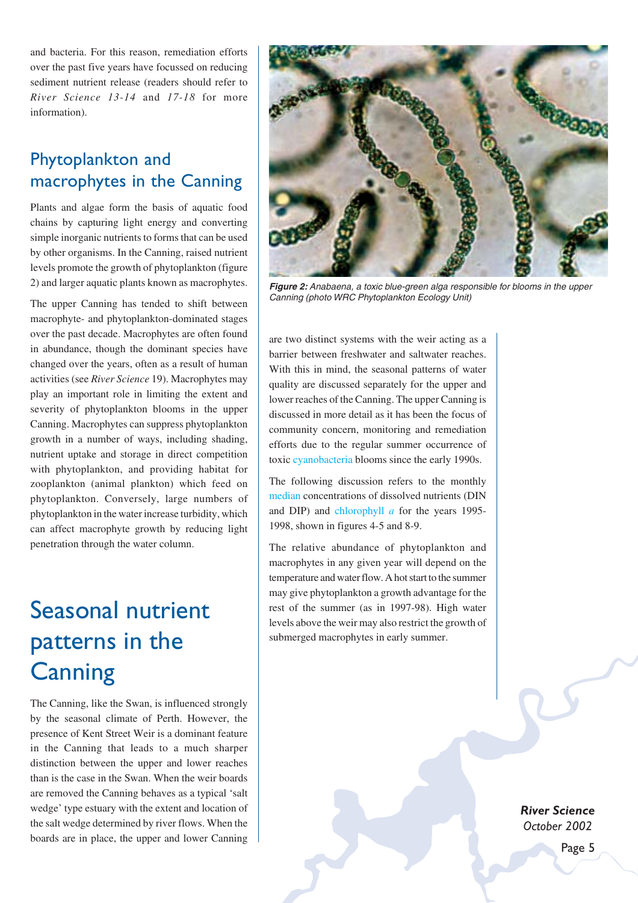and bacteria. For this reason, remediation efforts over the past five years have focussed on reducing sediment nutrient release (readers should refer to *River Science 13-14* and *17-18* for more information).

## Phytoplankton and macrophytes in the Canning

Plants and algae form the basis of aquatic food chains by capturing light energy and converting simple inorganic nutrients to forms that can be used by other organisms. In the Canning, raised nutrient levels promote the growth of phytoplankton (figure 2) and larger aquatic plants known as macrophytes.

The upper Canning has tended to shift between macrophyte- and phytoplankton-dominated stages over the past decade. Macrophytes are often found in abundance, though the dominant species have changed over the years, often as a result of human activities (see *River Science* 19). Macrophytes may play an important role in limiting the extent and severity of phytoplankton blooms in the upper Canning. Macrophytes can suppress phytoplankton growth in a number of ways, including shading, nutrient uptake and storage in direct competition with phytoplankton, and providing habitat for zooplankton (animal plankton) which feed on phytoplankton. Conversely, large numbers of phytoplankton in the water increase turbidity, which can affect macrophyte growth by reducing light penetration through the water column.

# Seasonal nutrient patterns in the **Canning**

The Canning, like the Swan, is influenced strongly by the seasonal climate of Perth. However, the presence of Kent Street Weir is a dominant feature in the Canning that leads to a much sharper distinction between the upper and lower reaches than is the case in the Swan. When the weir boards are removed the Canning behaves as a typical 'salt wedge' type estuary with the extent and location of the salt wedge determined by river flows. When the boards are in place, the upper and lower Canning



**Figure 2:** Anabaena, a toxic blue-green alga responsible for blooms in the upper Canning (photo WRC Phytoplankton Ecology Unit)

are two distinct systems with the weir acting as a barrier between freshwater and saltwater reaches. With this in mind, the seasonal patterns of water quality are discussed separately for the upper and lower reaches of the Canning. The upper Canning is discussed in more detail as it has been the focus of community concern, monitoring and remediation efforts due to the regular summer occurrence of toxic cyanobacteria blooms since the early 1990s.

The following discussion refers to the monthly median concentrations of dissolved nutrients (DIN and DIP) and chlorophyll *a* for the years 1995- 1998, shown in figures 4-5 and 8-9.

The relative abundance of phytoplankton and macrophytes in any given year will depend on the temperature and water flow. A hot start to the summer may give phytoplankton a growth advantage for the rest of the summer (as in 1997-98). High water levels above the weir may also restrict the growth of submerged macrophytes in early summer.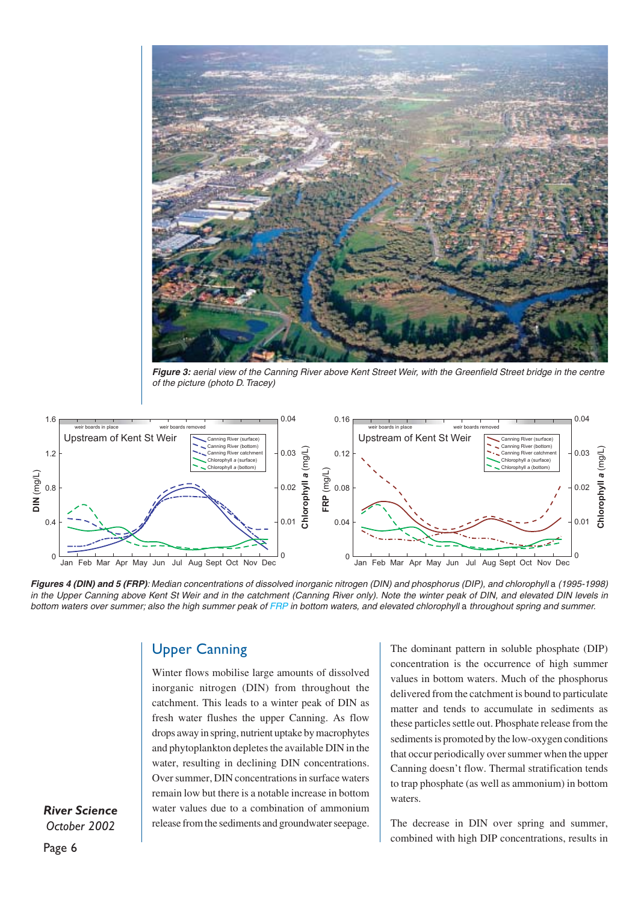

**Figure 3:** aerial view of the Canning River above Kent Street Weir, with the Greenfield Street bridge in the centre of the picture (photo D. Tracey)



**Figures 4 (DIN) and 5 (FRP)**: Median concentrations of dissolved inorganic nitrogen (DIN) and phosphorus (DIP), and chlorophyll a (1995-1998) in the Upper Canning above Kent St Weir and in the catchment (Canning River only). Note the winter peak of DIN, and elevated DIN levels in bottom waters over summer; also the high summer peak of FRP in bottom waters, and elevated chlorophyll a throughout spring and summer.

#### Upper Canning

Winter flows mobilise large amounts of dissolved inorganic nitrogen (DIN) from throughout the catchment. This leads to a winter peak of DIN as fresh water flushes the upper Canning. As flow drops away in spring, nutrient uptake by macrophytes and phytoplankton depletes the available DIN in the water, resulting in declining DIN concentrations. Over summer, DIN concentrations in surface waters remain low but there is a notable increase in bottom water values due to a combination of ammonium release from the sediments and groundwater seepage.

The dominant pattern in soluble phosphate (DIP) concentration is the occurrence of high summer values in bottom waters. Much of the phosphorus delivered from the catchment is bound to particulate matter and tends to accumulate in sediments as these particles settle out. Phosphate release from the sediments is promoted by the low-oxygen conditions that occur periodically over summer when the upper Canning doesn't flow. Thermal stratification tends to trap phosphate (as well as ammonium) in bottom waters.

The decrease in DIN over spring and summer, combined with high DIP concentrations, results in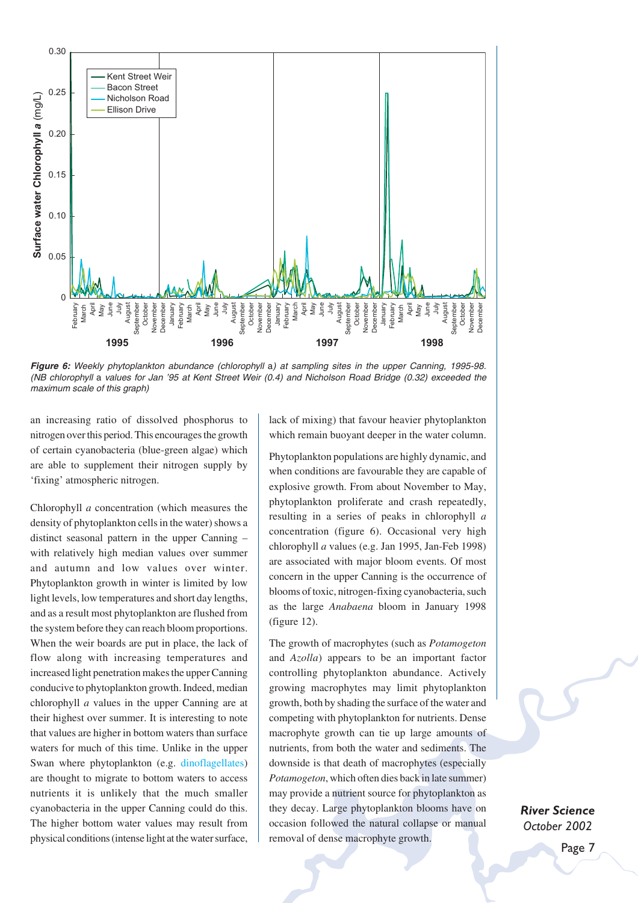

**Figure 6:** Weekly phytoplankton abundance (chlorophyll a) at sampling sites in the upper Canning, 1995-98. (NB chlorophyll a values for Jan '95 at Kent Street Weir (0.4) and Nicholson Road Bridge (0.32) exceeded the maximum scale of this graph)

an increasing ratio of dissolved phosphorus to nitrogen over this period. This encourages the growth of certain cyanobacteria (blue-green algae) which are able to supplement their nitrogen supply by 'fixing' atmospheric nitrogen.

Chlorophyll *a* concentration (which measures the density of phytoplankton cells in the water) shows a distinct seasonal pattern in the upper Canning – with relatively high median values over summer and autumn and low values over winter. Phytoplankton growth in winter is limited by low light levels, low temperatures and short day lengths, and as a result most phytoplankton are flushed from the system before they can reach bloom proportions. When the weir boards are put in place, the lack of flow along with increasing temperatures and increased light penetration makes the upper Canning conducive to phytoplankton growth. Indeed, median chlorophyll *a* values in the upper Canning are at their highest over summer. It is interesting to note that values are higher in bottom waters than surface waters for much of this time. Unlike in the upper Swan where phytoplankton (e.g. dinoflagellates) are thought to migrate to bottom waters to access nutrients it is unlikely that the much smaller cyanobacteria in the upper Canning could do this. The higher bottom water values may result from physical conditions (intense light at the water surface,

lack of mixing) that favour heavier phytoplankton which remain buoyant deeper in the water column.

Phytoplankton populations are highly dynamic, and when conditions are favourable they are capable of explosive growth. From about November to May, phytoplankton proliferate and crash repeatedly, resulting in a series of peaks in chlorophyll *a* concentration (figure 6). Occasional very high chlorophyll *a* values (e.g. Jan 1995, Jan-Feb 1998) are associated with major bloom events. Of most concern in the upper Canning is the occurrence of blooms of toxic, nitrogen-fixing cyanobacteria, such as the large *Anabaena* bloom in January 1998 (figure 12).

The growth of macrophytes (such as *Potamogeton* and *Azolla*) appears to be an important factor controlling phytoplankton abundance. Actively growing macrophytes may limit phytoplankton growth, both by shading the surface of the water and competing with phytoplankton for nutrients. Dense macrophyte growth can tie up large amounts of nutrients, from both the water and sediments. The downside is that death of macrophytes (especially *Potamogeton*, which often dies back in late summer) may provide a nutrient source for phytoplankton as they decay. Large phytoplankton blooms have on occasion followed the natural collapse or manual removal of dense macrophyte growth.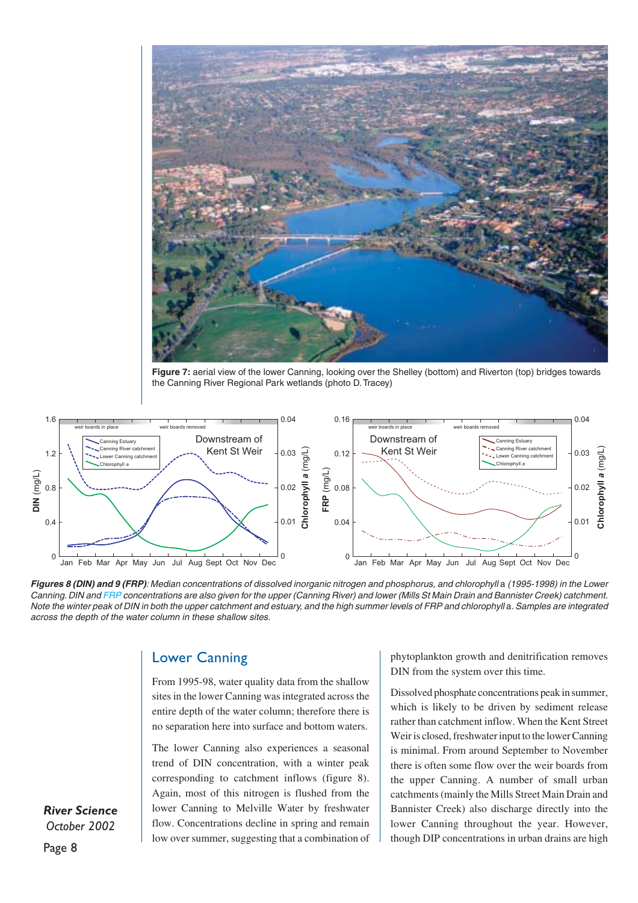

**Figure 7:** aerial view of the lower Canning, looking over the Shelley (bottom) and Riverton (top) bridges towards the Canning River Regional Park wetlands (photo D. Tracey)



**Figures 8 (DIN) and 9 (FRP)**: Median concentrations of dissolved inorganic nitrogen and phosphorus, and chlorophyll a (1995-1998) in the Lower Canning. DIN and FRP concentrations are also given for the upper (Canning River) and lower (Mills St Main Drain and Bannister Creek) catchment. Note the winter peak of DIN in both the upper catchment and estuary, and the high summer levels of FRP and chlorophyll a. Samples are integrated across the depth of the water column in these shallow sites.

#### Lower Canning

From 1995-98, water quality data from the shallow sites in the lower Canning was integrated across the entire depth of the water column; therefore there is no separation here into surface and bottom waters.

The lower Canning also experiences a seasonal trend of DIN concentration, with a winter peak corresponding to catchment inflows (figure 8). Again, most of this nitrogen is flushed from the lower Canning to Melville Water by freshwater flow. Concentrations decline in spring and remain low over summer, suggesting that a combination of phytoplankton growth and denitrification removes DIN from the system over this time.

Dissolved phosphate concentrations peak in summer, which is likely to be driven by sediment release rather than catchment inflow. When the Kent Street Weir is closed, freshwater input to the lower Canning is minimal. From around September to November there is often some flow over the weir boards from the upper Canning. A number of small urban catchments (mainly the Mills Street Main Drain and Bannister Creek) also discharge directly into the lower Canning throughout the year. However, though DIP concentrations in urban drains are high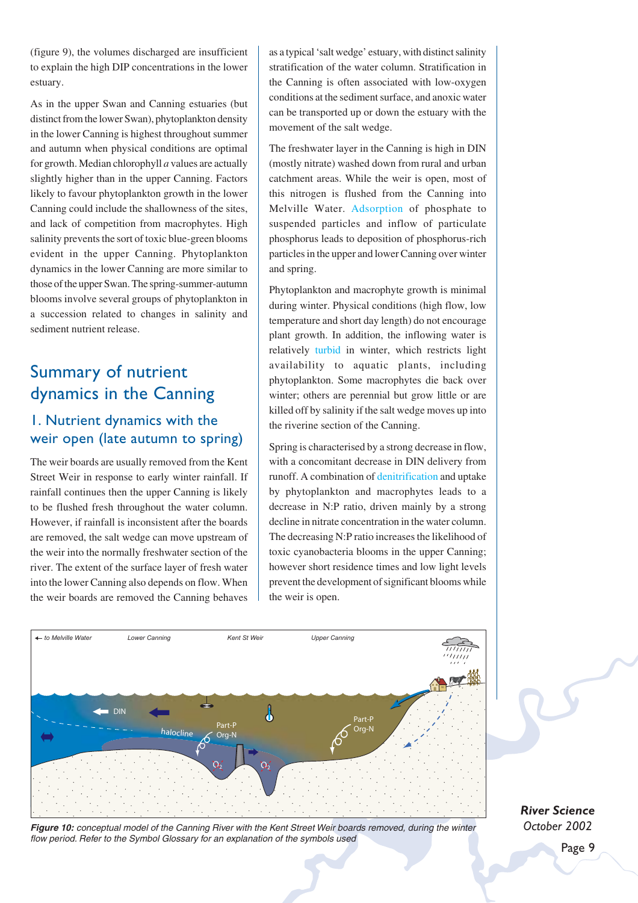(figure 9), the volumes discharged are insufficient to explain the high DIP concentrations in the lower estuary.

As in the upper Swan and Canning estuaries (but distinct from the lower Swan), phytoplankton density in the lower Canning is highest throughout summer and autumn when physical conditions are optimal for growth. Median chlorophyll *a* values are actually slightly higher than in the upper Canning. Factors likely to favour phytoplankton growth in the lower Canning could include the shallowness of the sites, and lack of competition from macrophytes. High salinity prevents the sort of toxic blue-green blooms evident in the upper Canning. Phytoplankton dynamics in the lower Canning are more similar to those of the upper Swan. The spring-summer-autumn blooms involve several groups of phytoplankton in a succession related to changes in salinity and sediment nutrient release.

## Summary of nutrient dynamics in the Canning

### 1. Nutrient dynamics with the weir open (late autumn to spring)

The weir boards are usually removed from the Kent Street Weir in response to early winter rainfall. If rainfall continues then the upper Canning is likely to be flushed fresh throughout the water column. However, if rainfall is inconsistent after the boards are removed, the salt wedge can move upstream of the weir into the normally freshwater section of the river. The extent of the surface layer of fresh water into the lower Canning also depends on flow. When the weir boards are removed the Canning behaves

as a typical 'salt wedge' estuary, with distinct salinity stratification of the water column. Stratification in the Canning is often associated with low-oxygen conditions at the sediment surface, and anoxic water can be transported up or down the estuary with the movement of the salt wedge.

The freshwater layer in the Canning is high in DIN (mostly nitrate) washed down from rural and urban catchment areas. While the weir is open, most of this nitrogen is flushed from the Canning into Melville Water. Adsorption of phosphate to suspended particles and inflow of particulate phosphorus leads to deposition of phosphorus-rich particles in the upper and lower Canning over winter and spring.

Phytoplankton and macrophyte growth is minimal during winter. Physical conditions (high flow, low temperature and short day length) do not encourage plant growth. In addition, the inflowing water is relatively turbid in winter, which restricts light availability to aquatic plants, including phytoplankton. Some macrophytes die back over winter; others are perennial but grow little or are killed off by salinity if the salt wedge moves up into the riverine section of the Canning.

Spring is characterised by a strong decrease in flow, with a concomitant decrease in DIN delivery from runoff. A combination of denitrification and uptake by phytoplankton and macrophytes leads to a decrease in N:P ratio, driven mainly by a strong decline in nitrate concentration in the water column. The decreasing N:P ratio increases the likelihood of toxic cyanobacteria blooms in the upper Canning; however short residence times and low light levels prevent the development of significant blooms while the weir is open.



**Figure 10:** conceptual model of the Canning River with the Kent Street Weir boards removed, during the winter flow period. Refer to the Symbol Glossary for an explanation of the symbols used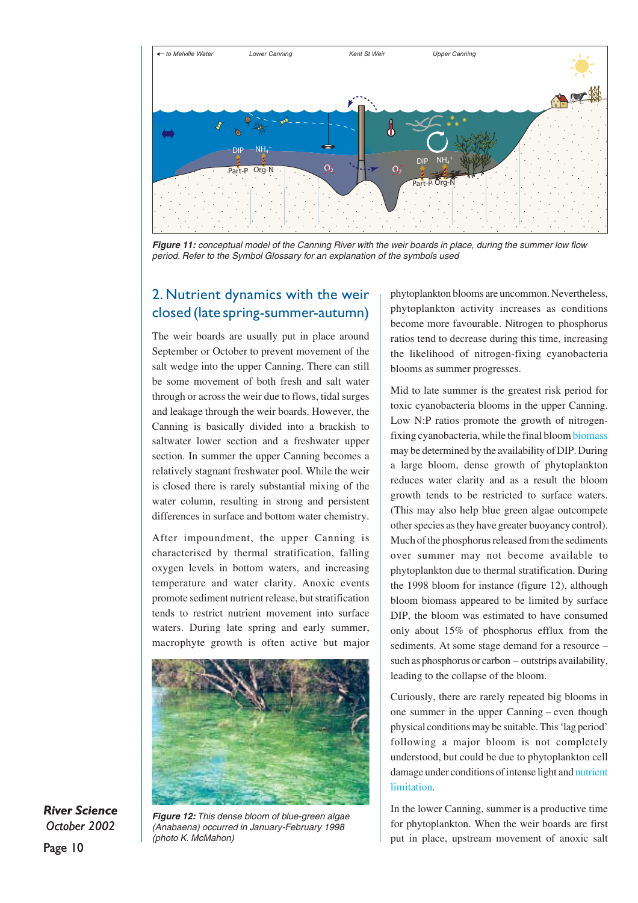

**Figure 11:** conceptual model of the Canning River with the weir boards in place, during the summer low flow period. Refer to the Symbol Glossary for an explanation of the symbols used

### 2. Nutrient dynamics with the weir closed (late spring-summer-autumn)

The weir boards are usually put in place around September or October to prevent movement of the salt wedge into the upper Canning. There can still be some movement of both fresh and salt water through or across the weir due to flows, tidal surges and leakage through the weir boards. However, the Canning is basically divided into a brackish to saltwater lower section and a freshwater upper section. In summer the upper Canning becomes a relatively stagnant freshwater pool. While the weir is closed there is rarely substantial mixing of the water column, resulting in strong and persistent differences in surface and bottom water chemistry.

After impoundment, the upper Canning is characterised by thermal stratification, falling oxygen levels in bottom waters, and increasing temperature and water clarity. Anoxic events promote sediment nutrient release, but stratification tends to restrict nutrient movement into surface waters. During late spring and early summer, macrophyte growth is often active but major



*River Science October 2002*

Page 10

**Figure 12:** This dense bloom of blue-green algae (Anabaena) occurred in January-February 1998 (photo K. McMahon)

phytoplankton blooms are uncommon. Nevertheless, phytoplankton activity increases as conditions become more favourable. Nitrogen to phosphorus ratios tend to decrease during this time, increasing the likelihood of nitrogen-fixing cyanobacteria blooms as summer progresses.

Mid to late summer is the greatest risk period for toxic cyanobacteria blooms in the upper Canning. Low N:P ratios promote the growth of nitrogenfixing cyanobacteria, while the final bloom biomass may be determined by the availability of DIP. During a large bloom, dense growth of phytoplankton reduces water clarity and as a result the bloom growth tends to be restricted to surface waters. (This may also help blue green algae outcompete other species as they have greater buoyancy control). Much of the phosphorus released from the sediments over summer may not become available to phytoplankton due to thermal stratification. During the 1998 bloom for instance (figure 12), although bloom biomass appeared to be limited by surface DIP, the bloom was estimated to have consumed only about 15% of phosphorus efflux from the sediments. At some stage demand for a resource – such as phosphorus or carbon – outstrips availability, leading to the collapse of the bloom.

Curiously, there are rarely repeated big blooms in one summer in the upper Canning – even though physical conditions may be suitable. This 'lag period' following a major bloom is not completely understood, but could be due to phytoplankton cell damage under conditions of intense light and nutrient limitation.

In the lower Canning, summer is a productive time for phytoplankton. When the weir boards are first put in place, upstream movement of anoxic salt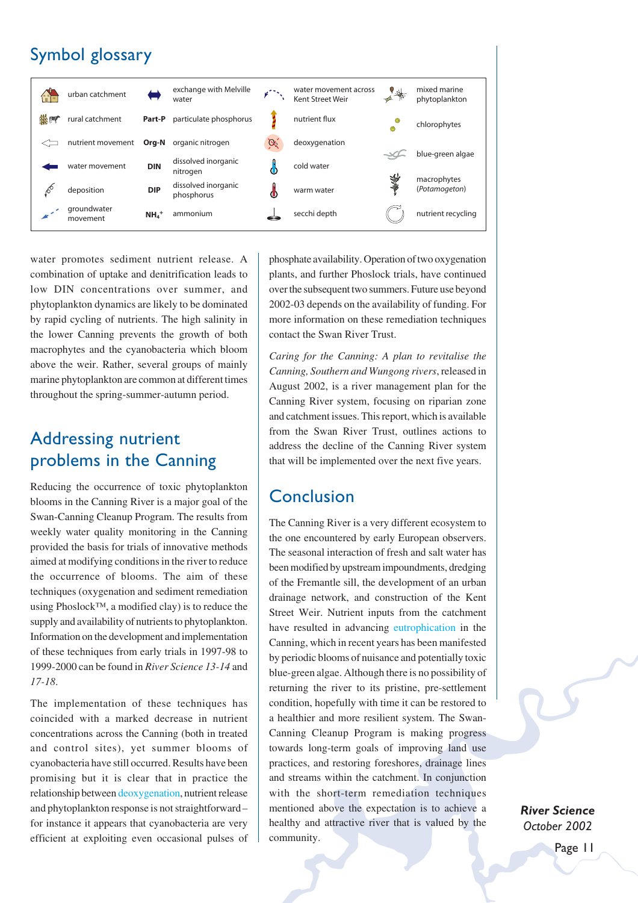## Symbol glossary



water promotes sediment nutrient release. A combination of uptake and denitrification leads to low DIN concentrations over summer, and phytoplankton dynamics are likely to be dominated by rapid cycling of nutrients. The high salinity in the lower Canning prevents the growth of both macrophytes and the cyanobacteria which bloom above the weir. Rather, several groups of mainly marine phytoplankton are common at different times throughout the spring-summer-autumn period.

## Addressing nutrient problems in the Canning

Reducing the occurrence of toxic phytoplankton blooms in the Canning River is a major goal of the Swan-Canning Cleanup Program. The results from weekly water quality monitoring in the Canning provided the basis for trials of innovative methods aimed at modifying conditions in the river to reduce the occurrence of blooms. The aim of these techniques (oxygenation and sediment remediation using Phoslock™, a modified clay) is to reduce the supply and availability of nutrients to phytoplankton. Information on the development and implementation of these techniques from early trials in 1997-98 to 1999-2000 can be found in *River Science 13-14* and *17-18*.

The implementation of these techniques has coincided with a marked decrease in nutrient concentrations across the Canning (both in treated and control sites), yet summer blooms of cyanobacteria have still occurred. Results have been promising but it is clear that in practice the relationship between deoxygenation, nutrient release and phytoplankton response is not straightforward– for instance it appears that cyanobacteria are very efficient at exploiting even occasional pulses of

phosphate availability. Operation of two oxygenation plants, and further Phoslock trials, have continued over the subsequent two summers. Future use beyond 2002-03 depends on the availability of funding. For more information on these remediation techniques contact the Swan River Trust.

*Caring for the Canning: A plan to revitalise the Canning, Southern and Wungong rivers*, released in August 2002, is a river management plan for the Canning River system, focusing on riparian zone and catchment issues. This report, which is available from the Swan River Trust, outlines actions to address the decline of the Canning River system that will be implemented over the next five years.

## Conclusion

The Canning River is a very different ecosystem to the one encountered by early European observers. The seasonal interaction of fresh and salt water has been modified by upstream impoundments, dredging of the Fremantle sill, the development of an urban drainage network, and construction of the Kent Street Weir. Nutrient inputs from the catchment have resulted in advancing eutrophication in the Canning, which in recent years has been manifested by periodic blooms of nuisance and potentially toxic blue-green algae. Although there is no possibility of returning the river to its pristine, pre-settlement condition, hopefully with time it can be restored to a healthier and more resilient system. The Swan-Canning Cleanup Program is making progress towards long-term goals of improving land use practices, and restoring foreshores, drainage lines and streams within the catchment. In conjunction with the short-term remediation techniques mentioned above the expectation is to achieve a healthy and attractive river that is valued by the community.